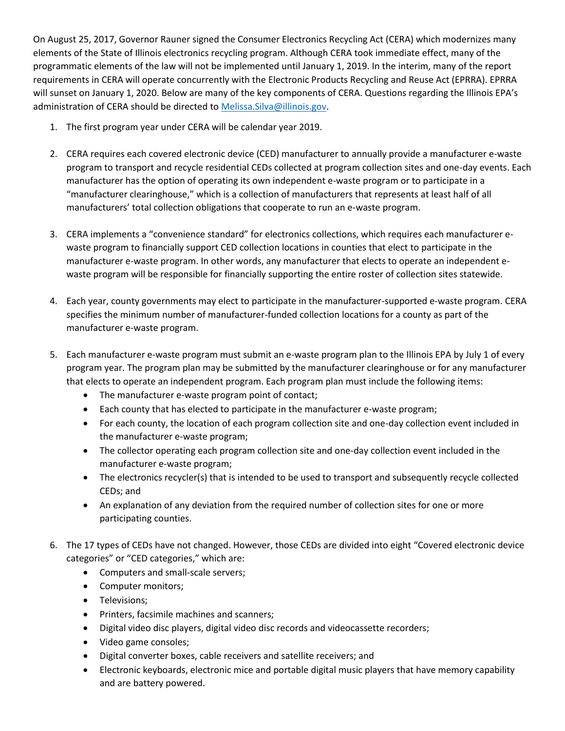On August 25, 2017, Governor Rauner signed the Consumer Electronics Recycling Act (CERA) which modernizes many elements of the State of Illinois electronics recycling program. Although CERA took immediate effect, many of the programmatic elements of the law will not be implemented until January 1, 2019. In the interim, many of the report requirements in CERA will operate concurrently with the Electronic Products Recycling and Reuse Act (EPRRA). EPRRA will sunset on January 1, 2020. Below are many of the key components of CERA. Questions regarding the Illinois EPA's administration of CERA should be directed to Melissa. Silva@illinois.gov.

- 1. The first program year under CERA will be calendar year 2019.
- 2. CERA requires each covered electronic device (CED) manufacturer to annually provide a manufacturer e-waste program to transport and recycle residential CEDs collected at program collection sites and one-day events. Each manufacturer has the option of operating its own independent e-waste program or to participate in a "manufacturer clearinghouse," which is a collection of manufacturers that represents at least half of all manufacturers' total collection obligations that cooperate to run an e-waste program.
- 3. CERA implements a "convenience standard" for electronics collections, which requires each manufacturer ewaste program to financially support CED collection locations in counties that elect to participate in the manufacturer e-waste program. In other words, any manufacturer that elects to operate an independent ewaste program will be responsible for financially supporting the entire roster of collection sites statewide.
- 4. Each year, county governments may elect to participate in the manufacturer-supported e-waste program. CERA specifies the minimum number of manufacturer-funded collection locations for a county as part of the manufacturer e-waste program.
- 5. Each manufacturer e-waste program must submit an e-waste program plan to the Illinois EPA by July 1 of every program year. The program plan may be submitted by the manufacturer clearinghouse or for any manufacturer that elects to operate an independent program. Each program plan must include the following items:
	- The manufacturer e-waste program point of contact;
	- Each county that has elected to participate in the manufacturer e-waste program;
	- For each county, the location of each program collection site and one-day collection event included in the manufacturer e-waste program;
	- The collector operating each program collection site and one-day collection event included in the manufacturer e-waste program;
	- The electronics recycler(s) that is intended to be used to transport and subsequently recycle collected CEDs; and
	- An explanation of any deviation from the required number of collection sites for one or more participating counties.
- 6. The 17 types of CEDs have not changed. However, those CEDs are divided into eight "Covered electronic device categories" or "CED categories," which are:
	- Computers and small-scale servers;
	- Computer monitors;
	- Televisions;
	- Printers, facsimile machines and scanners;
	- Digital video disc players, digital video disc records and videocassette recorders;
	- Video game consoles;
	- Digital converter boxes, cable receivers and satellite receivers; and
	- Electronic keyboards, electronic mice and portable digital music players that have memory capability and are battery powered.